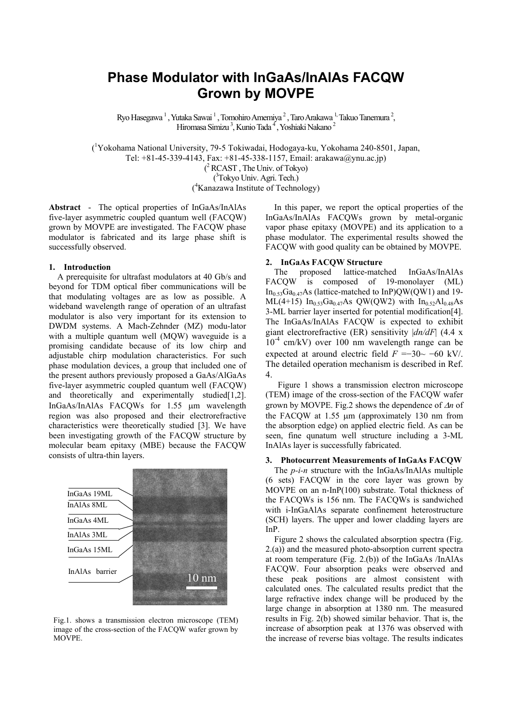# **Phase Modulator with InGaAs/InAlAs FACQW Grown by MOVPE**

Ryo Hasegawa <sup>1</sup> , Yutaka Sawai <sup>1</sup> , Tomohiro Amemiya <sup>2</sup> , Taro Arakawa <sup>1,</sup> Takuo Tanemura <sup>2</sup>, Hiromasa Simizu<sup>3</sup>, Kunio Tada<sup>4</sup>, Yoshiaki Nakano<sup>2</sup>

( 1 Yokohama National University, 79-5 Tokiwadai, Hodogaya-ku, Yokohama 240-8501, Japan, Tel: +81-45-339-4143, Fax: +81-45-338-1157, Email: arakawa@ynu.ac.jp) ( 2 RCAST , The Univ. of Tokyo) ( 3 Tokyo Univ. Agri. Tech.) ( 4 Kanazawa Institute of Technology)

**Abstract** - The optical properties of InGaAs/InAlAs five-layer asymmetric coupled quantum well (FACQW) grown by MOVPE are investigated. The FACQW phase modulator is fabricated and its large phase shift is successfully observed.

## **1. Introduction**

A prerequisite for ultrafast modulators at 40 Gb/s and beyond for TDM optical fiber communications will be that modulating voltages are as low as possible. A wideband wavelength range of operation of an ultrafast modulator is also very important for its extension to DWDM systems. A Mach-Zehnder (MZ) modu-lator with a multiple quantum well (MQW) waveguide is a promising candidate because of its low chirp and adjustable chirp modulation characteristics. For such phase modulation devices, a group that included one of the present authors previously proposed a GaAs/AlGaAs five-layer asymmetric coupled quantum well (FACQW) and theoretically and experimentally studied [1,2]. InGaAs/InAlAs FACQWs for 1.55 μm wavelength region was also proposed and their electrorefractive characteristics were theoretically studied [3]. We have been investigating growth of the FACQW structure by molecular beam epitaxy (MBE) because the FACQW consists of ultra-thin layers.



Fig.1. shows a transmission electron microscope (TEM) image of the cross-section of the FACQW wafer grown by MOVPE.

In this paper, we report the optical properties of the InGaAs/InAlAs FACQWs grown by metal-organic vapor phase epitaxy (MOVPE) and its application to a phase modulator. The experimental results showed the FACQW with good quality can be obtained by MOVPE.

## **2. InGaAs FACQW Structure**

The proposed lattice-matched InGaAs/InAlAs FACQW is composed of 19-monolayer (ML)  $In_{0.53}Ga_{0.47}As$  (lattice-matched to InP)OW(OW1) and 19- $ML(4+15)$  In<sub>0.53</sub>Ga<sub>0.47</sub>As QW(QW2) with In<sub>0.52</sub>Al<sub>0.48</sub>As 3-ML barrier layer inserted for potential modification[4]. The InGaAs/InAlAs FACQW is expected to exhibit giant electrorefractive (ER) sensitivity |*dn/dF*| (4.4 x  $10^{-4}$  cm/kV) over 100 nm wavelength range can be expected at around electric field  $F = -30 \sim -60$  kV/. The detailed operation mechanism is described in Ref. 4.

Figure 1 shows a transmission electron microscope (TEM) image of the cross-section of the FACQW wafer grown by MOVPE. Fig.2 shows the dependence of Δ*n* of the FACQW at 1.55 μm (approximately 130 nm from the absorption edge) on applied electric field. As can be seen, fine qunatum well structure including a 3-ML InAlAs layer is successfully fabricated.

## **3. Photocurrent Measurements of InGaAs FACQW**

The *p-i-n* structure with the InGaAs/InAlAs multiple (6 sets) FACQW in the core layer was grown by MOVPE on an n-InP(100) substrate. Total thickness of the FACQWs is 156 nm. The FACQWs is sandwiched with i-InGaAlAs separate confinement heterostructure (SCH) layers. The upper and lower cladding layers are InP.

Figure 2 shows the calculated absorption spectra (Fig. 2.(a)) and the measured photo-absorption current spectra at room temperature (Fig. 2.(b)) of the InGaAs /InAlAs FACQW. Four absorption peaks were observed and these peak positions are almost consistent with calculated ones. The calculated results predict that the large refractive index change will be produced by the large change in absorption at 1380 nm. The measured results in Fig. 2(b) showed similar behavior. That is, the increase of absorption peak at 1376 was observed with the increase of reverse bias voltage. The results indicates